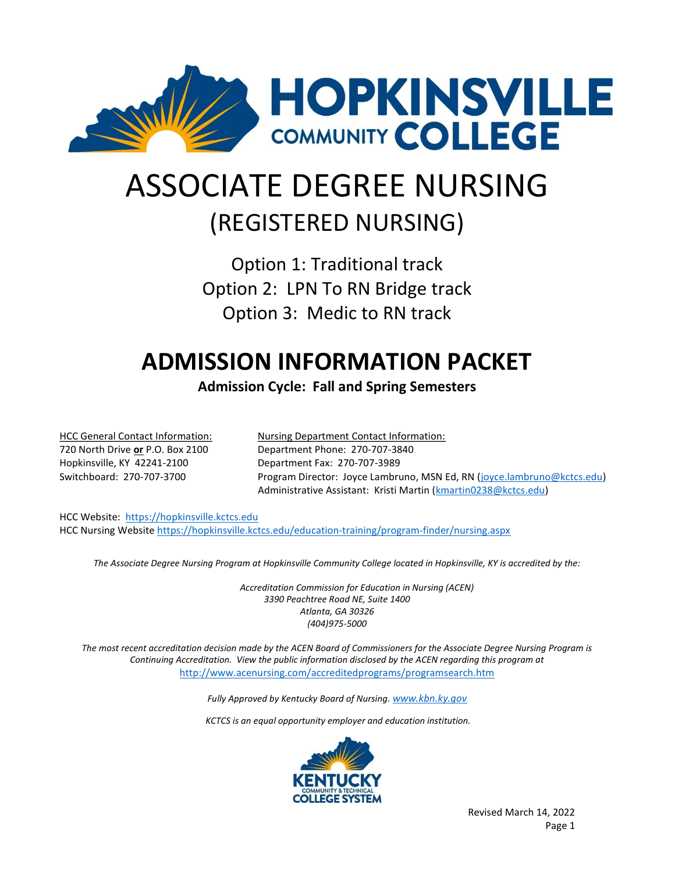

# ASSOCIATE DEGREE NURSING (REGISTERED NURSING)

Option 1: Traditional track Option 2: LPN To RN Bridge track Option 3: Medic to RN track

# ADMISSION INFORMATION PACKET

Admission Cycle: Fall and Spring Semesters

Hopkinsville, KY 42241-2100 Department Fax: 270-707-3989

HCC General Contact Information: Nursing Department Contact Information: 720 North Drive or P.O. Box 2100 Department Phone: 270-707-3840 Switchboard: 270-707-3700 Program Director: Joyce Lambruno, MSN Ed, RN (joyce.lambruno@kctcs.edu) Administrative Assistant: Kristi Martin (kmartin0238@kctcs.edu)

HCC Website: https://hopkinsville.kctcs.edu HCC Nursing Website https://hopkinsville.kctcs.edu/education-training/program-finder/nursing.aspx

The Associate Degree Nursing Program at Hopkinsville Community College located in Hopkinsville, KY is accredited by the:

 Accreditation Commission for Education in Nursing (ACEN) 3390 Peachtree Road NE, Suite 1400 Atlanta, GA 30326 (404)975-5000

The most recent accreditation decision made by the ACEN Board of Commissioners for the Associate Degree Nursing Program is Continuing Accreditation. View the public information disclosed by the ACEN regarding this program at http://www.acenursing.com/accreditedprograms/programsearch.htm

Fully Approved by Kentucky Board of Nursing. www.kbn.ky.gov

KCTCS is an equal opportunity employer and education institution.

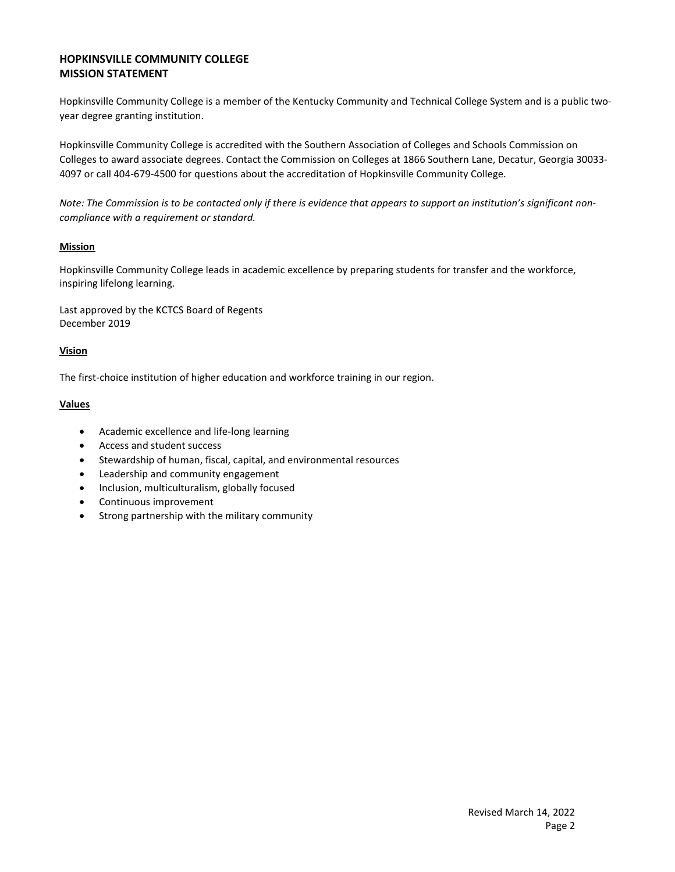#### HOPKINSVILLE COMMUNITY COLLEGE MISSION STATEMENT

Hopkinsville Community College is a member of the Kentucky Community and Technical College System and is a public twoyear degree granting institution.

Hopkinsville Community College is accredited with the Southern Association of Colleges and Schools Commission on Colleges to award associate degrees. Contact the Commission on Colleges at 1866 Southern Lane, Decatur, Georgia 30033- 4097 or call 404-679-4500 for questions about the accreditation of Hopkinsville Community College.

Note: The Commission is to be contacted only if there is evidence that appears to support an institution's significant noncompliance with a requirement or standard.

#### Mission

Hopkinsville Community College leads in academic excellence by preparing students for transfer and the workforce, inspiring lifelong learning.

Last approved by the KCTCS Board of Regents December 2019

#### Vision

The first-choice institution of higher education and workforce training in our region.

#### Values

- Academic excellence and life-long learning
- Access and student success
- Stewardship of human, fiscal, capital, and environmental resources
- Leadership and community engagement
- Inclusion, multiculturalism, globally focused
- Continuous improvement
- Strong partnership with the military community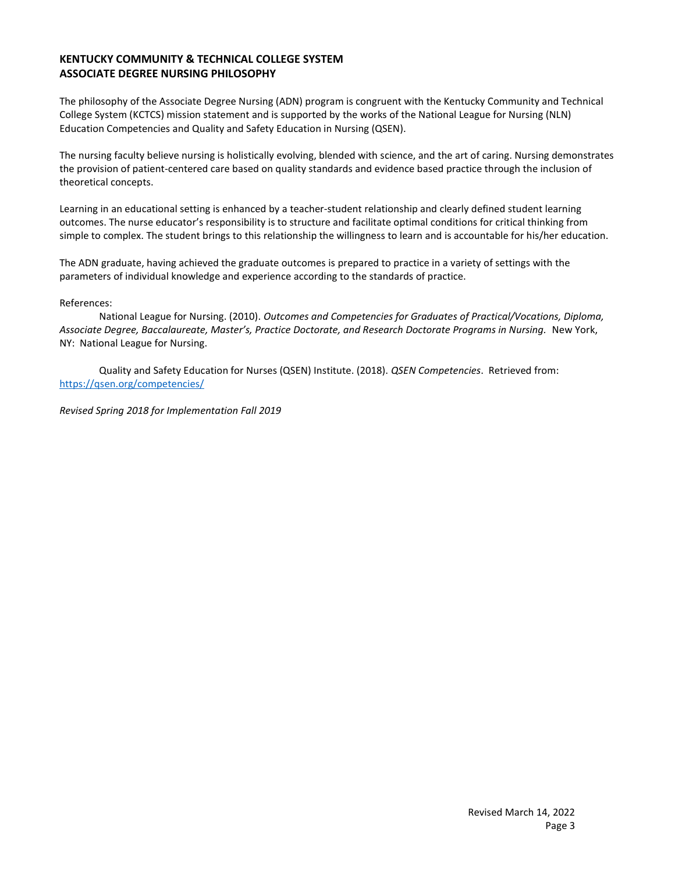#### KENTUCKY COMMUNITY & TECHNICAL COLLEGE SYSTEM ASSOCIATE DEGREE NURSING PHILOSOPHY

The philosophy of the Associate Degree Nursing (ADN) program is congruent with the Kentucky Community and Technical College System (KCTCS) mission statement and is supported by the works of the National League for Nursing (NLN) Education Competencies and Quality and Safety Education in Nursing (QSEN).

The nursing faculty believe nursing is holistically evolving, blended with science, and the art of caring. Nursing demonstrates the provision of patient-centered care based on quality standards and evidence based practice through the inclusion of theoretical concepts.

Learning in an educational setting is enhanced by a teacher-student relationship and clearly defined student learning outcomes. The nurse educator's responsibility is to structure and facilitate optimal conditions for critical thinking from simple to complex. The student brings to this relationship the willingness to learn and is accountable for his/her education.

The ADN graduate, having achieved the graduate outcomes is prepared to practice in a variety of settings with the parameters of individual knowledge and experience according to the standards of practice.

#### References:

 National League for Nursing. (2010). Outcomes and Competencies for Graduates of Practical/Vocations, Diploma, Associate Degree, Baccalaureate, Master's, Practice Doctorate, and Research Doctorate Programs in Nursing. New York, NY: National League for Nursing.

Quality and Safety Education for Nurses (QSEN) Institute. (2018). QSEN Competencies. Retrieved from: https://qsen.org/competencies/

Revised Spring 2018 for Implementation Fall 2019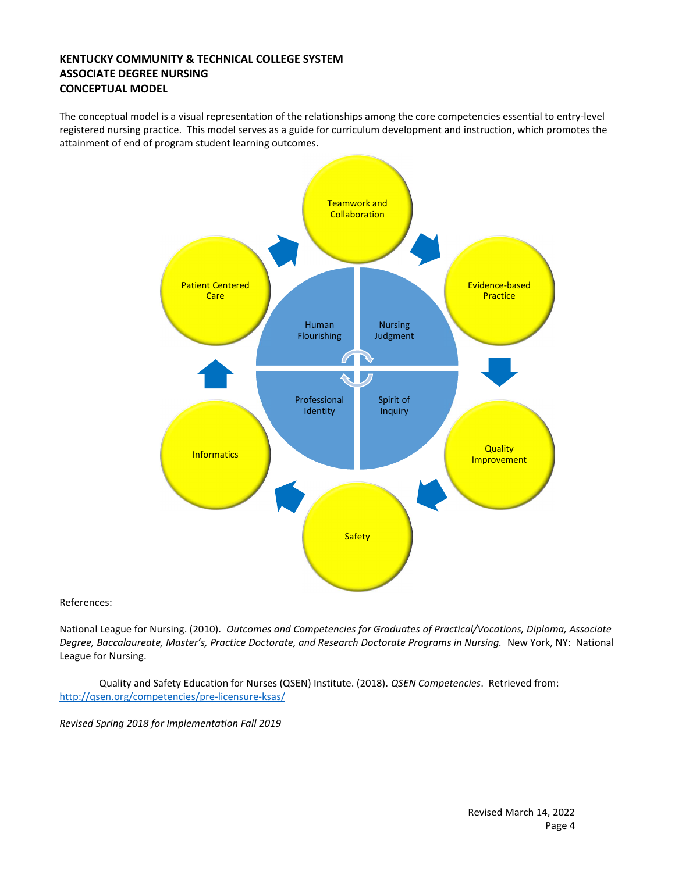#### KENTUCKY COMMUNITY & TECHNICAL COLLEGE SYSTEM ASSOCIATE DEGREE NURSING CONCEPTUAL MODEL

The conceptual model is a visual representation of the relationships among the core competencies essential to entry-level registered nursing practice. This model serves as a guide for curriculum development and instruction, which promotes the attainment of end of program student learning outcomes.



References:

National League for Nursing. (2010). Outcomes and Competencies for Graduates of Practical/Vocations, Diploma, Associate Degree, Baccalaureate, Master's, Practice Doctorate, and Research Doctorate Programs in Nursing. New York, NY: National League for Nursing.

 Quality and Safety Education for Nurses (QSEN) Institute. (2018). QSEN Competencies. Retrieved from: http://qsen.org/competencies/pre-licensure-ksas/

Revised Spring 2018 for Implementation Fall 2019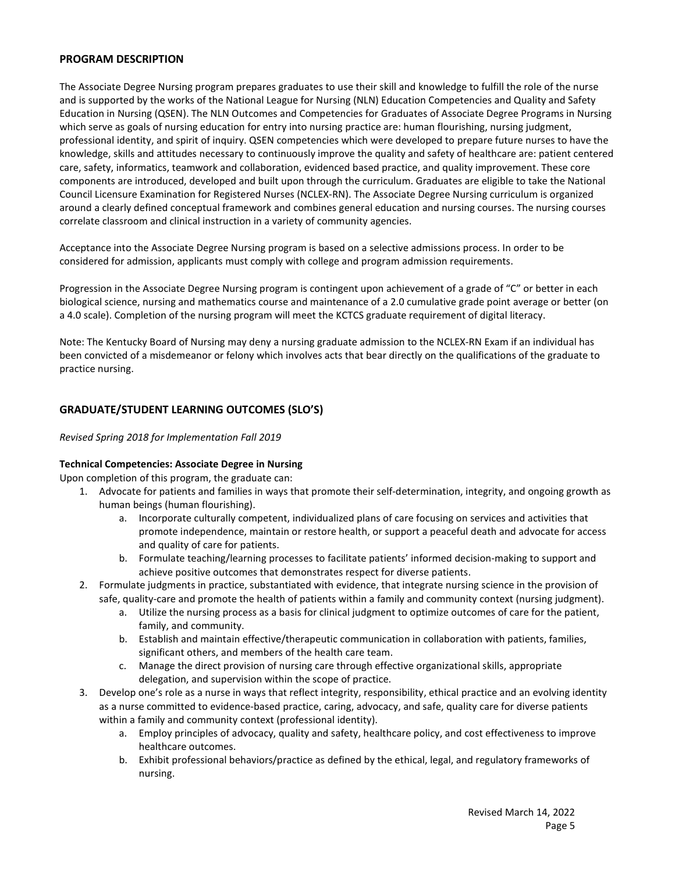#### PROGRAM DESCRIPTION

The Associate Degree Nursing program prepares graduates to use their skill and knowledge to fulfill the role of the nurse and is supported by the works of the National League for Nursing (NLN) Education Competencies and Quality and Safety Education in Nursing (QSEN). The NLN Outcomes and Competencies for Graduates of Associate Degree Programs in Nursing which serve as goals of nursing education for entry into nursing practice are: human flourishing, nursing judgment, professional identity, and spirit of inquiry. QSEN competencies which were developed to prepare future nurses to have the knowledge, skills and attitudes necessary to continuously improve the quality and safety of healthcare are: patient centered care, safety, informatics, teamwork and collaboration, evidenced based practice, and quality improvement. These core components are introduced, developed and built upon through the curriculum. Graduates are eligible to take the National Council Licensure Examination for Registered Nurses (NCLEX-RN). The Associate Degree Nursing curriculum is organized around a clearly defined conceptual framework and combines general education and nursing courses. The nursing courses correlate classroom and clinical instruction in a variety of community agencies.

Acceptance into the Associate Degree Nursing program is based on a selective admissions process. In order to be considered for admission, applicants must comply with college and program admission requirements.

Progression in the Associate Degree Nursing program is contingent upon achievement of a grade of "C" or better in each biological science, nursing and mathematics course and maintenance of a 2.0 cumulative grade point average or better (on a 4.0 scale). Completion of the nursing program will meet the KCTCS graduate requirement of digital literacy.

Note: The Kentucky Board of Nursing may deny a nursing graduate admission to the NCLEX-RN Exam if an individual has been convicted of a misdemeanor or felony which involves acts that bear directly on the qualifications of the graduate to practice nursing.

#### GRADUATE/STUDENT LEARNING OUTCOMES (SLO'S)

#### Revised Spring 2018 for Implementation Fall 2019

#### Technical Competencies: Associate Degree in Nursing

Upon completion of this program, the graduate can:

- 1. Advocate for patients and families in ways that promote their self-determination, integrity, and ongoing growth as human beings (human flourishing).
	- a. Incorporate culturally competent, individualized plans of care focusing on services and activities that promote independence, maintain or restore health, or support a peaceful death and advocate for access and quality of care for patients.
	- b. Formulate teaching/learning processes to facilitate patients' informed decision-making to support and achieve positive outcomes that demonstrates respect for diverse patients.
- 2. Formulate judgments in practice, substantiated with evidence, that integrate nursing science in the provision of safe, quality-care and promote the health of patients within a family and community context (nursing judgment).
	- a. Utilize the nursing process as a basis for clinical judgment to optimize outcomes of care for the patient, family, and community.
	- b. Establish and maintain effective/therapeutic communication in collaboration with patients, families, significant others, and members of the health care team.
	- c. Manage the direct provision of nursing care through effective organizational skills, appropriate delegation, and supervision within the scope of practice.
- 3. Develop one's role as a nurse in ways that reflect integrity, responsibility, ethical practice and an evolving identity as a nurse committed to evidence-based practice, caring, advocacy, and safe, quality care for diverse patients within a family and community context (professional identity).
	- a. Employ principles of advocacy, quality and safety, healthcare policy, and cost effectiveness to improve healthcare outcomes.
	- b. Exhibit professional behaviors/practice as defined by the ethical, legal, and regulatory frameworks of nursing.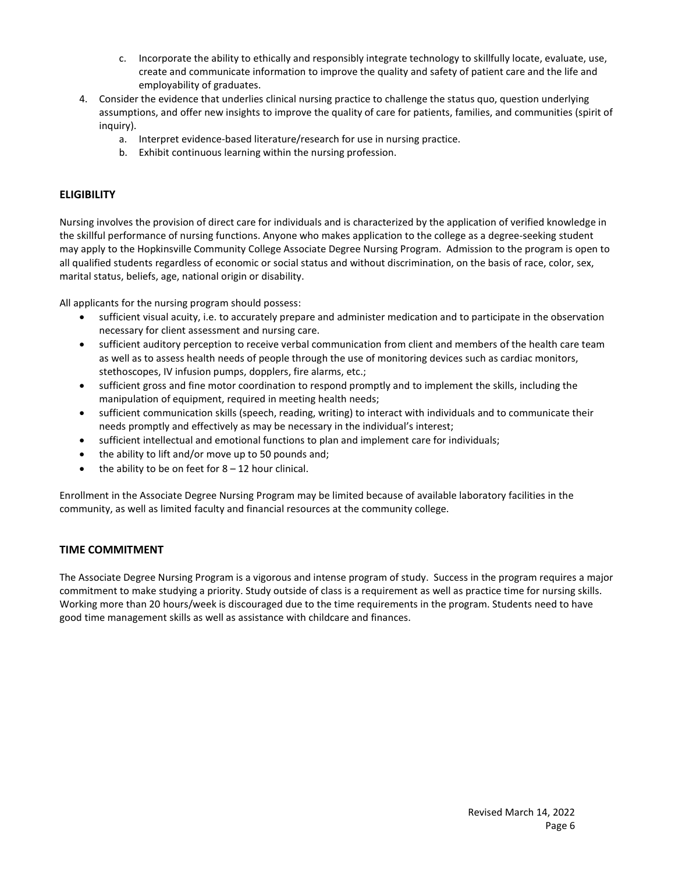- c. Incorporate the ability to ethically and responsibly integrate technology to skillfully locate, evaluate, use, create and communicate information to improve the quality and safety of patient care and the life and employability of graduates.
- 4. Consider the evidence that underlies clinical nursing practice to challenge the status quo, question underlying assumptions, and offer new insights to improve the quality of care for patients, families, and communities (spirit of inquiry).
	- a. Interpret evidence-based literature/research for use in nursing practice.
	- b. Exhibit continuous learning within the nursing profession.

#### **ELIGIBILITY**

Nursing involves the provision of direct care for individuals and is characterized by the application of verified knowledge in the skillful performance of nursing functions. Anyone who makes application to the college as a degree-seeking student may apply to the Hopkinsville Community College Associate Degree Nursing Program. Admission to the program is open to all qualified students regardless of economic or social status and without discrimination, on the basis of race, color, sex, marital status, beliefs, age, national origin or disability.

All applicants for the nursing program should possess:

- sufficient visual acuity, i.e. to accurately prepare and administer medication and to participate in the observation necessary for client assessment and nursing care.
- sufficient auditory perception to receive verbal communication from client and members of the health care team as well as to assess health needs of people through the use of monitoring devices such as cardiac monitors, stethoscopes, IV infusion pumps, dopplers, fire alarms, etc.;
- sufficient gross and fine motor coordination to respond promptly and to implement the skills, including the manipulation of equipment, required in meeting health needs;
- sufficient communication skills (speech, reading, writing) to interact with individuals and to communicate their needs promptly and effectively as may be necessary in the individual's interest;
- sufficient intellectual and emotional functions to plan and implement care for individuals;
- the ability to lift and/or move up to 50 pounds and;
- $\bullet$  the ability to be on feet for 8 12 hour clinical.

Enrollment in the Associate Degree Nursing Program may be limited because of available laboratory facilities in the community, as well as limited faculty and financial resources at the community college.

#### TIME COMMITMENT

The Associate Degree Nursing Program is a vigorous and intense program of study. Success in the program requires a major commitment to make studying a priority. Study outside of class is a requirement as well as practice time for nursing skills. Working more than 20 hours/week is discouraged due to the time requirements in the program. Students need to have good time management skills as well as assistance with childcare and finances.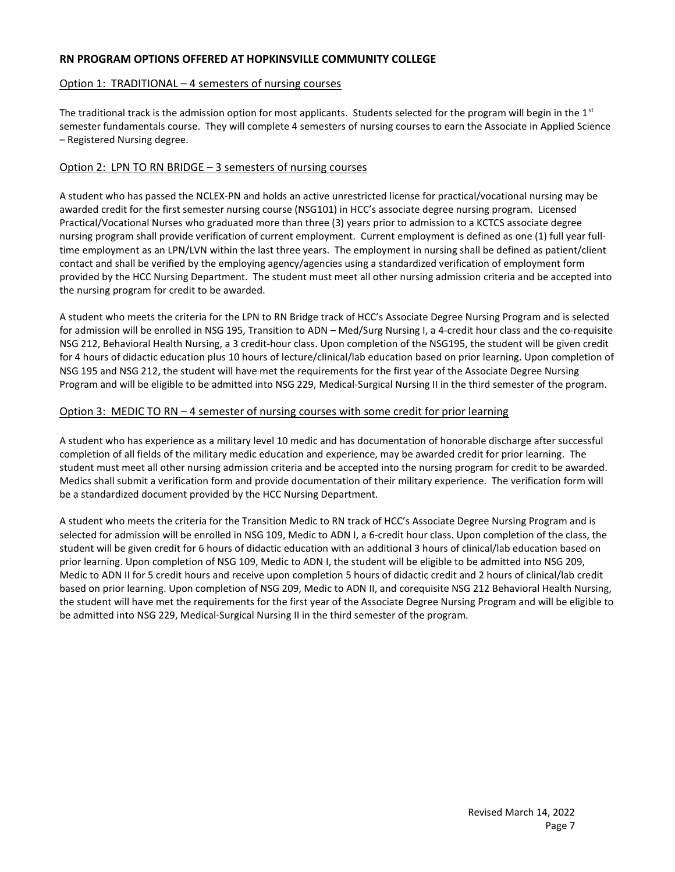#### RN PROGRAM OPTIONS OFFERED AT HOPKINSVILLE COMMUNITY COLLEGE

#### Option 1: TRADITIONAL – 4 semesters of nursing courses

The traditional track is the admission option for most applicants. Students selected for the program will begin in the  $1<sup>st</sup>$ semester fundamentals course. They will complete 4 semesters of nursing courses to earn the Associate in Applied Science – Registered Nursing degree.

#### Option 2: LPN TO RN BRIDGE – 3 semesters of nursing courses

A student who has passed the NCLEX-PN and holds an active unrestricted license for practical/vocational nursing may be awarded credit for the first semester nursing course (NSG101) in HCC's associate degree nursing program. Licensed Practical/Vocational Nurses who graduated more than three (3) years prior to admission to a KCTCS associate degree nursing program shall provide verification of current employment. Current employment is defined as one (1) full year fulltime employment as an LPN/LVN within the last three years. The employment in nursing shall be defined as patient/client contact and shall be verified by the employing agency/agencies using a standardized verification of employment form provided by the HCC Nursing Department. The student must meet all other nursing admission criteria and be accepted into the nursing program for credit to be awarded.

A student who meets the criteria for the LPN to RN Bridge track of HCC's Associate Degree Nursing Program and is selected for admission will be enrolled in NSG 195, Transition to ADN – Med/Surg Nursing I, a 4-credit hour class and the co-requisite NSG 212, Behavioral Health Nursing, a 3 credit-hour class. Upon completion of the NSG195, the student will be given credit for 4 hours of didactic education plus 10 hours of lecture/clinical/lab education based on prior learning. Upon completion of NSG 195 and NSG 212, the student will have met the requirements for the first year of the Associate Degree Nursing Program and will be eligible to be admitted into NSG 229, Medical-Surgical Nursing II in the third semester of the program.

#### Option 3: MEDIC TO RN – 4 semester of nursing courses with some credit for prior learning

A student who has experience as a military level 10 medic and has documentation of honorable discharge after successful completion of all fields of the military medic education and experience, may be awarded credit for prior learning. The student must meet all other nursing admission criteria and be accepted into the nursing program for credit to be awarded. Medics shall submit a verification form and provide documentation of their military experience. The verification form will be a standardized document provided by the HCC Nursing Department.

A student who meets the criteria for the Transition Medic to RN track of HCC's Associate Degree Nursing Program and is selected for admission will be enrolled in NSG 109, Medic to ADN I, a 6-credit hour class. Upon completion of the class, the student will be given credit for 6 hours of didactic education with an additional 3 hours of clinical/lab education based on prior learning. Upon completion of NSG 109, Medic to ADN I, the student will be eligible to be admitted into NSG 209, Medic to ADN II for 5 credit hours and receive upon completion 5 hours of didactic credit and 2 hours of clinical/lab credit based on prior learning. Upon completion of NSG 209, Medic to ADN II, and corequisite NSG 212 Behavioral Health Nursing, the student will have met the requirements for the first year of the Associate Degree Nursing Program and will be eligible to be admitted into NSG 229, Medical-Surgical Nursing II in the third semester of the program.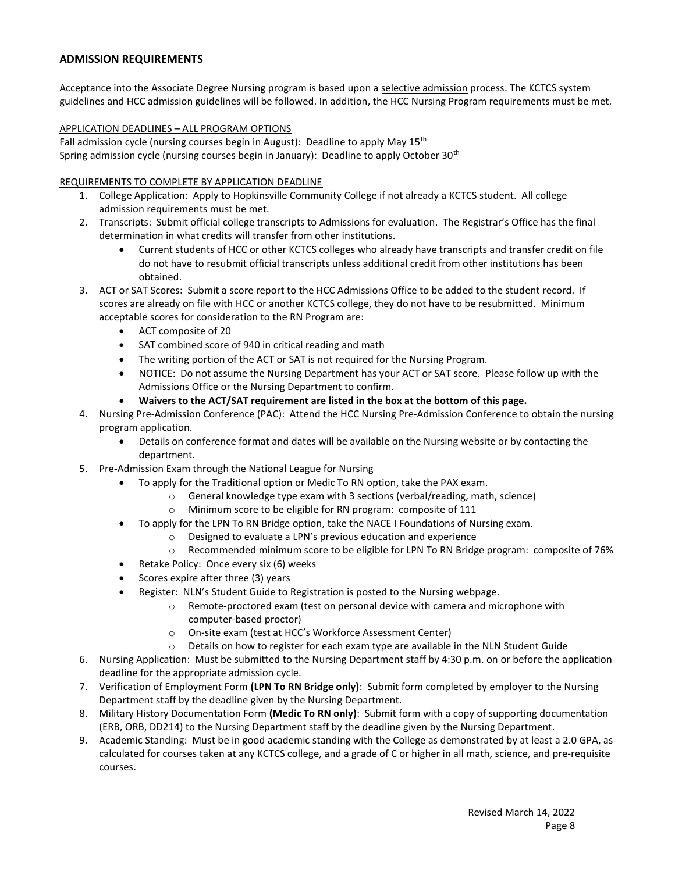#### ADMISSION REQUIREMENTS

Acceptance into the Associate Degree Nursing program is based upon a selective admission process. The KCTCS system guidelines and HCC admission guidelines will be followed. In addition, the HCC Nursing Program requirements must be met.

#### APPLICATION DEADLINES – ALL PROGRAM OPTIONS

Fall admission cycle (nursing courses begin in August): Deadline to apply May  $15<sup>th</sup>$ Spring admission cycle (nursing courses begin in January): Deadline to apply October 30<sup>th</sup>

#### REQUIREMENTS TO COMPLETE BY APPLICATION DEADLINE

- 1. College Application: Apply to Hopkinsville Community College if not already a KCTCS student. All college admission requirements must be met.
- 2. Transcripts: Submit official college transcripts to Admissions for evaluation. The Registrar's Office has the final determination in what credits will transfer from other institutions.
	- Current students of HCC or other KCTCS colleges who already have transcripts and transfer credit on file do not have to resubmit official transcripts unless additional credit from other institutions has been obtained.
- 3. ACT or SAT Scores: Submit a score report to the HCC Admissions Office to be added to the student record. If scores are already on file with HCC or another KCTCS college, they do not have to be resubmitted. Minimum acceptable scores for consideration to the RN Program are:
	- ACT composite of 20
	- SAT combined score of 940 in critical reading and math
	- The writing portion of the ACT or SAT is not required for the Nursing Program.
	- NOTICE: Do not assume the Nursing Department has your ACT or SAT score. Please follow up with the Admissions Office or the Nursing Department to confirm.
	- Waivers to the ACT/SAT requirement are listed in the box at the bottom of this page.
- 4. Nursing Pre-Admission Conference (PAC): Attend the HCC Nursing Pre-Admission Conference to obtain the nursing program application.
	- Details on conference format and dates will be available on the Nursing website or by contacting the department.
- 5. Pre-Admission Exam through the National League for Nursing
	- To apply for the Traditional option or Medic To RN option, take the PAX exam.
		- o General knowledge type exam with 3 sections (verbal/reading, math, science)
		- o Minimum score to be eligible for RN program: composite of 111
	- To apply for the LPN To RN Bridge option, take the NACE I Foundations of Nursing exam.
		- o Designed to evaluate a LPN's previous education and experience
		- o Recommended minimum score to be eligible for LPN To RN Bridge program: composite of 76%
	- Retake Policy: Once every six (6) weeks
	- $\bullet$  Scores expire after three (3) years
	- Register: NLN's Student Guide to Registration is posted to the Nursing webpage.
		- o Remote-proctored exam (test on personal device with camera and microphone with computer-based proctor)
		- o On-site exam (test at HCC's Workforce Assessment Center)
		- o Details on how to register for each exam type are available in the NLN Student Guide
- 6. Nursing Application: Must be submitted to the Nursing Department staff by 4:30 p.m. on or before the application deadline for the appropriate admission cycle.
- 7. Verification of Employment Form (LPN To RN Bridge only): Submit form completed by employer to the Nursing Department staff by the deadline given by the Nursing Department.
- 8. Military History Documentation Form (Medic To RN only): Submit form with a copy of supporting documentation (ERB, ORB, DD214) to the Nursing Department staff by the deadline given by the Nursing Department.
- 9. Academic Standing: Must be in good academic standing with the College as demonstrated by at least a 2.0 GPA, as calculated for courses taken at any KCTCS college, and a grade of C or higher in all math, science, and pre-requisite courses.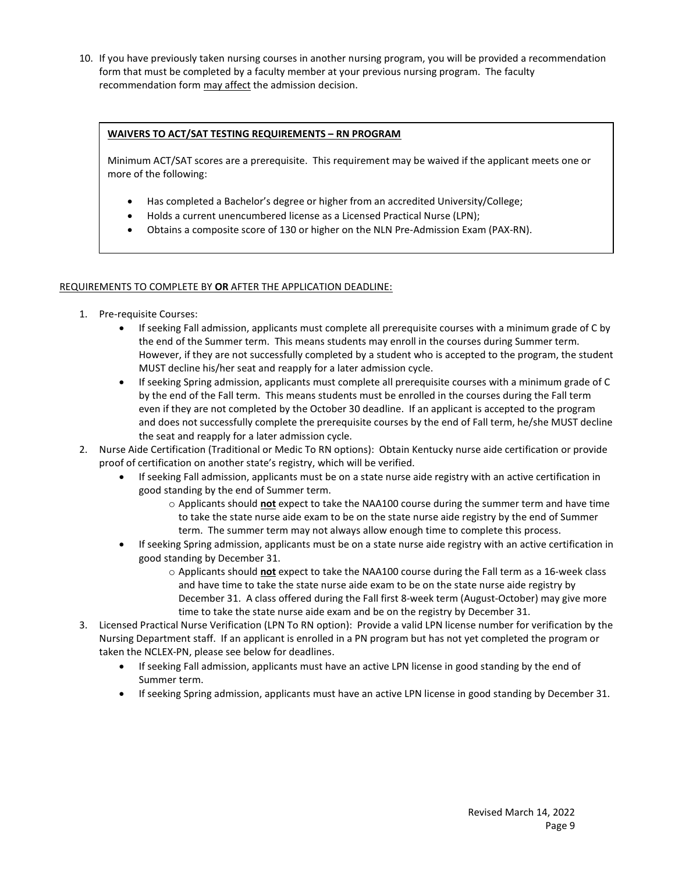10. If you have previously taken nursing courses in another nursing program, you will be provided a recommendation form that must be completed by a faculty member at your previous nursing program. The faculty recommendation form may affect the admission decision.

#### WAIVERS TO ACT/SAT TESTING REQUIREMENTS – RN PROGRAM

Minimum ACT/SAT scores are a prerequisite. This requirement may be waived if the applicant meets one or more of the following:

- Has completed a Bachelor's degree or higher from an accredited University/College;
- Holds a current unencumbered license as a Licensed Practical Nurse (LPN);
- Obtains a composite score of 130 or higher on the NLN Pre-Admission Exam (PAX-RN).

#### REQUIREMENTS TO COMPLETE BY OR AFTER THE APPLICATION DEADLINE:

- 1. Pre-requisite Courses:
	- If seeking Fall admission, applicants must complete all prerequisite courses with a minimum grade of C by the end of the Summer term. This means students may enroll in the courses during Summer term. However, if they are not successfully completed by a student who is accepted to the program, the student MUST decline his/her seat and reapply for a later admission cycle.
	- If seeking Spring admission, applicants must complete all prerequisite courses with a minimum grade of C by the end of the Fall term. This means students must be enrolled in the courses during the Fall term even if they are not completed by the October 30 deadline. If an applicant is accepted to the program and does not successfully complete the prerequisite courses by the end of Fall term, he/she MUST decline the seat and reapply for a later admission cycle.
- 2. Nurse Aide Certification (Traditional or Medic To RN options): Obtain Kentucky nurse aide certification or provide proof of certification on another state's registry, which will be verified.
	- If seeking Fall admission, applicants must be on a state nurse aide registry with an active certification in good standing by the end of Summer term.
		- $\circ$  Applicants should not expect to take the NAA100 course during the summer term and have time to take the state nurse aide exam to be on the state nurse aide registry by the end of Summer term. The summer term may not always allow enough time to complete this process.
	- If seeking Spring admission, applicants must be on a state nurse aide registry with an active certification in good standing by December 31.
		- $\circ$  Applicants should not expect to take the NAA100 course during the Fall term as a 16-week class and have time to take the state nurse aide exam to be on the state nurse aide registry by December 31. A class offered during the Fall first 8-week term (August-October) may give more time to take the state nurse aide exam and be on the registry by December 31.
- 3. Licensed Practical Nurse Verification (LPN To RN option): Provide a valid LPN license number for verification by the Nursing Department staff. If an applicant is enrolled in a PN program but has not yet completed the program or taken the NCLEX-PN, please see below for deadlines.
	- If seeking Fall admission, applicants must have an active LPN license in good standing by the end of Summer term.
	- If seeking Spring admission, applicants must have an active LPN license in good standing by December 31.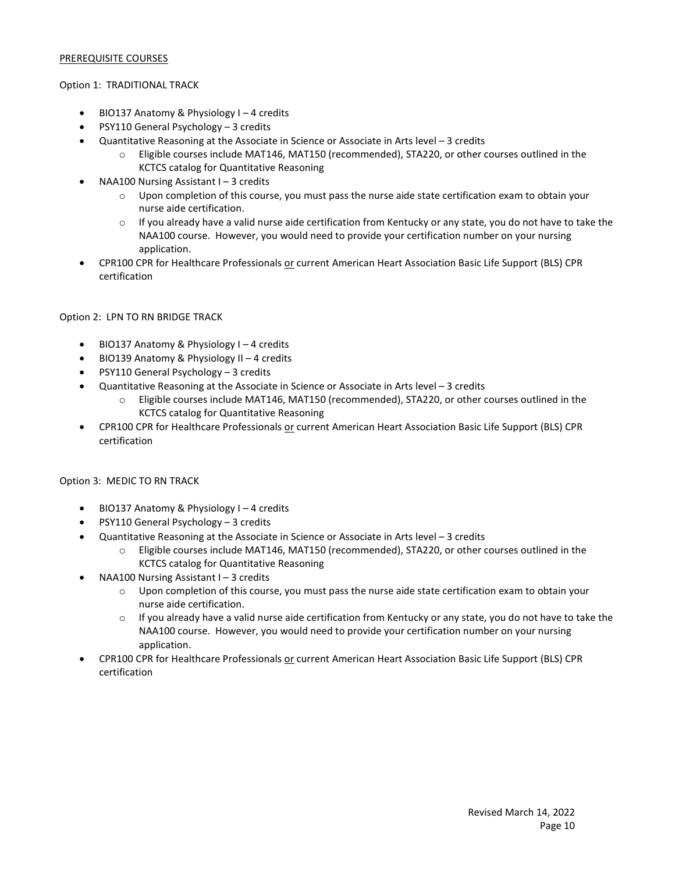#### PREREQUISITE COURSES

#### Option 1: TRADITIONAL TRACK

- BIO137 Anatomy & Physiology I 4 credits
- PSY110 General Psychology 3 credits
- Quantitative Reasoning at the Associate in Science or Associate in Arts level 3 credits
	- o Eligible courses include MAT146, MAT150 (recommended), STA220, or other courses outlined in the KCTCS catalog for Quantitative Reasoning
- NAA100 Nursing Assistant I 3 credits
	- $\circ$  Upon completion of this course, you must pass the nurse aide state certification exam to obtain your nurse aide certification.
	- $\circ$  If you already have a valid nurse aide certification from Kentucky or any state, you do not have to take the NAA100 course. However, you would need to provide your certification number on your nursing application.
- CPR100 CPR for Healthcare Professionals or current American Heart Association Basic Life Support (BLS) CPR certification

#### Option 2: LPN TO RN BRIDGE TRACK

- BIO137 Anatomy & Physiology I 4 credits
- BIO139 Anatomy & Physiology II 4 credits
- PSY110 General Psychology 3 credits
- Quantitative Reasoning at the Associate in Science or Associate in Arts level 3 credits
	- o Eligible courses include MAT146, MAT150 (recommended), STA220, or other courses outlined in the KCTCS catalog for Quantitative Reasoning
- CPR100 CPR for Healthcare Professionals or current American Heart Association Basic Life Support (BLS) CPR certification

#### Option 3: MEDIC TO RN TRACK

- BIO137 Anatomy & Physiology I 4 credits
- PSY110 General Psychology 3 credits
- Quantitative Reasoning at the Associate in Science or Associate in Arts level 3 credits
	- o Eligible courses include MAT146, MAT150 (recommended), STA220, or other courses outlined in the KCTCS catalog for Quantitative Reasoning
	- NAA100 Nursing Assistant I 3 credits
		- o Upon completion of this course, you must pass the nurse aide state certification exam to obtain your nurse aide certification.
		- $\circ$  If you already have a valid nurse aide certification from Kentucky or any state, you do not have to take the NAA100 course. However, you would need to provide your certification number on your nursing application.
- CPR100 CPR for Healthcare Professionals or current American Heart Association Basic Life Support (BLS) CPR certification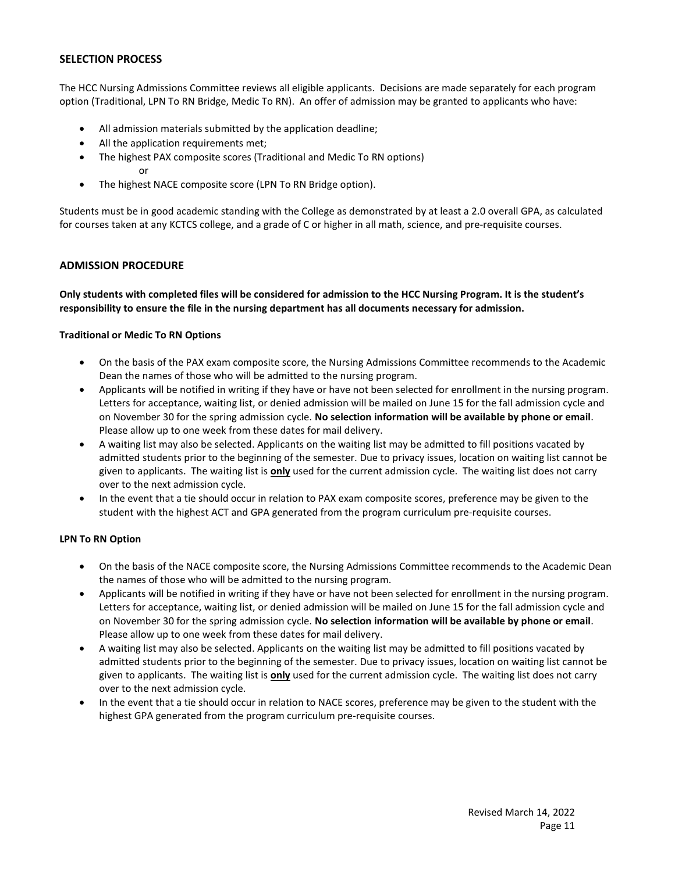#### SELECTION PROCESS

The HCC Nursing Admissions Committee reviews all eligible applicants. Decisions are made separately for each program option (Traditional, LPN To RN Bridge, Medic To RN). An offer of admission may be granted to applicants who have:

- All admission materials submitted by the application deadline;
- All the application requirements met;
- The highest PAX composite scores (Traditional and Medic To RN options) or
- The highest NACE composite score (LPN To RN Bridge option).

Students must be in good academic standing with the College as demonstrated by at least a 2.0 overall GPA, as calculated for courses taken at any KCTCS college, and a grade of C or higher in all math, science, and pre-requisite courses.

#### ADMISSION PROCEDURE

Only students with completed files will be considered for admission to the HCC Nursing Program. It is the student's responsibility to ensure the file in the nursing department has all documents necessary for admission.

#### Traditional or Medic To RN Options

- On the basis of the PAX exam composite score, the Nursing Admissions Committee recommends to the Academic Dean the names of those who will be admitted to the nursing program.
- Applicants will be notified in writing if they have or have not been selected for enrollment in the nursing program. Letters for acceptance, waiting list, or denied admission will be mailed on June 15 for the fall admission cycle and on November 30 for the spring admission cycle. No selection information will be available by phone or email. Please allow up to one week from these dates for mail delivery.
- A waiting list may also be selected. Applicants on the waiting list may be admitted to fill positions vacated by admitted students prior to the beginning of the semester. Due to privacy issues, location on waiting list cannot be given to applicants. The waiting list is only used for the current admission cycle. The waiting list does not carry over to the next admission cycle.
- In the event that a tie should occur in relation to PAX exam composite scores, preference may be given to the student with the highest ACT and GPA generated from the program curriculum pre-requisite courses.

#### LPN To RN Option

- On the basis of the NACE composite score, the Nursing Admissions Committee recommends to the Academic Dean the names of those who will be admitted to the nursing program.
- Applicants will be notified in writing if they have or have not been selected for enrollment in the nursing program. Letters for acceptance, waiting list, or denied admission will be mailed on June 15 for the fall admission cycle and on November 30 for the spring admission cycle. No selection information will be available by phone or email. Please allow up to one week from these dates for mail delivery.
- A waiting list may also be selected. Applicants on the waiting list may be admitted to fill positions vacated by admitted students prior to the beginning of the semester. Due to privacy issues, location on waiting list cannot be given to applicants. The waiting list is only used for the current admission cycle. The waiting list does not carry over to the next admission cycle.
- In the event that a tie should occur in relation to NACE scores, preference may be given to the student with the highest GPA generated from the program curriculum pre-requisite courses.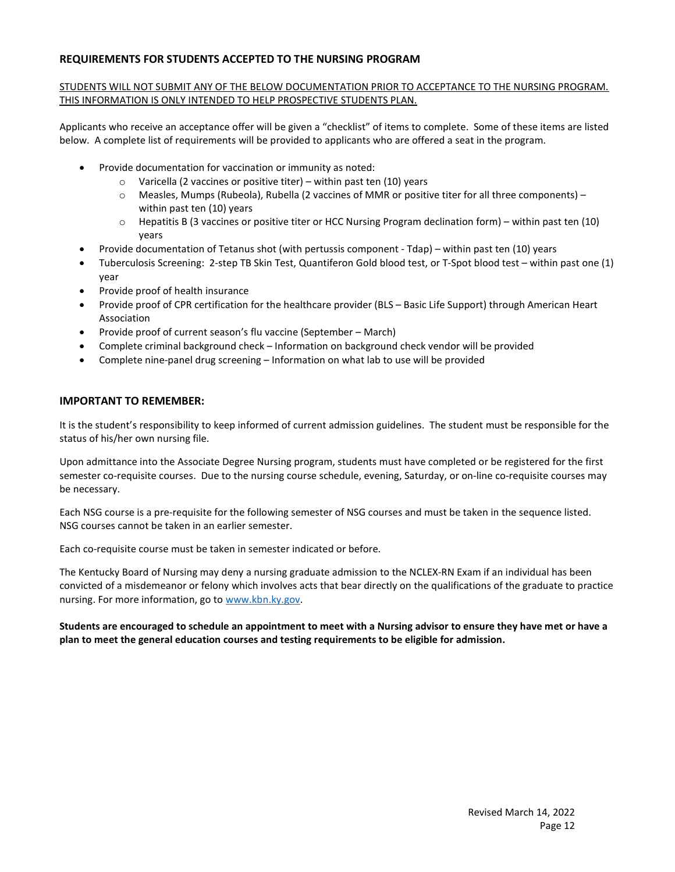#### REQUIREMENTS FOR STUDENTS ACCEPTED TO THE NURSING PROGRAM

#### STUDENTS WILL NOT SUBMIT ANY OF THE BELOW DOCUMENTATION PRIOR TO ACCEPTANCE TO THE NURSING PROGRAM. THIS INFORMATION IS ONLY INTENDED TO HELP PROSPECTIVE STUDENTS PLAN.

Applicants who receive an acceptance offer will be given a "checklist" of items to complete. Some of these items are listed below. A complete list of requirements will be provided to applicants who are offered a seat in the program.

- Provide documentation for vaccination or immunity as noted:
	- o Varicella (2 vaccines or positive titer) within past ten (10) years
	- o Measles, Mumps (Rubeola), Rubella (2 vaccines of MMR or positive titer for all three components) within past ten (10) years
	- o Hepatitis B (3 vaccines or positive titer or HCC Nursing Program declination form) within past ten (10) years
	- Provide documentation of Tetanus shot (with pertussis component Tdap) within past ten (10) years
- Tuberculosis Screening: 2-step TB Skin Test, Quantiferon Gold blood test, or T-Spot blood test within past one (1) year
- Provide proof of health insurance
- Provide proof of CPR certification for the healthcare provider (BLS Basic Life Support) through American Heart Association
- Provide proof of current season's flu vaccine (September March)
- Complete criminal background check Information on background check vendor will be provided
- Complete nine-panel drug screening Information on what lab to use will be provided

#### IMPORTANT TO REMEMBER:

It is the student's responsibility to keep informed of current admission guidelines. The student must be responsible for the status of his/her own nursing file.

Upon admittance into the Associate Degree Nursing program, students must have completed or be registered for the first semester co-requisite courses. Due to the nursing course schedule, evening, Saturday, or on-line co-requisite courses may be necessary.

Each NSG course is a pre-requisite for the following semester of NSG courses and must be taken in the sequence listed. NSG courses cannot be taken in an earlier semester.

Each co-requisite course must be taken in semester indicated or before.

The Kentucky Board of Nursing may deny a nursing graduate admission to the NCLEX-RN Exam if an individual has been convicted of a misdemeanor or felony which involves acts that bear directly on the qualifications of the graduate to practice nursing. For more information, go to www.kbn.ky.gov.

#### Students are encouraged to schedule an appointment to meet with a Nursing advisor to ensure they have met or have a plan to meet the general education courses and testing requirements to be eligible for admission.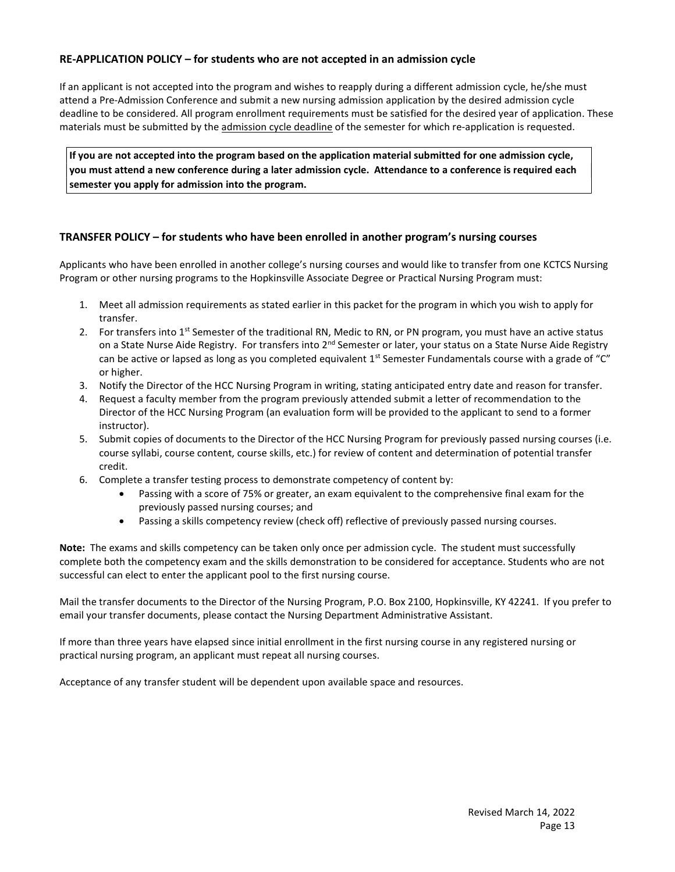#### RE-APPLICATION POLICY – for students who are not accepted in an admission cycle

If an applicant is not accepted into the program and wishes to reapply during a different admission cycle, he/she must attend a Pre-Admission Conference and submit a new nursing admission application by the desired admission cycle deadline to be considered. All program enrollment requirements must be satisfied for the desired year of application. These materials must be submitted by the admission cycle deadline of the semester for which re-application is requested.

If you are not accepted into the program based on the application material submitted for one admission cycle, you must attend a new conference during a later admission cycle. Attendance to a conference is required each semester you apply for admission into the program.

#### TRANSFER POLICY – for students who have been enrolled in another program's nursing courses

Applicants who have been enrolled in another college's nursing courses and would like to transfer from one KCTCS Nursing Program or other nursing programs to the Hopkinsville Associate Degree or Practical Nursing Program must:

- 1. Meet all admission requirements as stated earlier in this packet for the program in which you wish to apply for transfer.
- 2. For transfers into  $1<sup>st</sup>$  Semester of the traditional RN, Medic to RN, or PN program, you must have an active status on a State Nurse Aide Registry. For transfers into 2<sup>nd</sup> Semester or later, your status on a State Nurse Aide Registry can be active or lapsed as long as you completed equivalent  $1<sup>st</sup>$  Semester Fundamentals course with a grade of "C" or higher.
- 3. Notify the Director of the HCC Nursing Program in writing, stating anticipated entry date and reason for transfer.
- 4. Request a faculty member from the program previously attended submit a letter of recommendation to the Director of the HCC Nursing Program (an evaluation form will be provided to the applicant to send to a former instructor).
- 5. Submit copies of documents to the Director of the HCC Nursing Program for previously passed nursing courses (i.e. course syllabi, course content, course skills, etc.) for review of content and determination of potential transfer credit.
- 6. Complete a transfer testing process to demonstrate competency of content by:
	- Passing with a score of 75% or greater, an exam equivalent to the comprehensive final exam for the previously passed nursing courses; and
	- Passing a skills competency review (check off) reflective of previously passed nursing courses.

Note: The exams and skills competency can be taken only once per admission cycle. The student must successfully complete both the competency exam and the skills demonstration to be considered for acceptance. Students who are not successful can elect to enter the applicant pool to the first nursing course.

Mail the transfer documents to the Director of the Nursing Program, P.O. Box 2100, Hopkinsville, KY 42241. If you prefer to email your transfer documents, please contact the Nursing Department Administrative Assistant.

If more than three years have elapsed since initial enrollment in the first nursing course in any registered nursing or practical nursing program, an applicant must repeat all nursing courses.

Acceptance of any transfer student will be dependent upon available space and resources.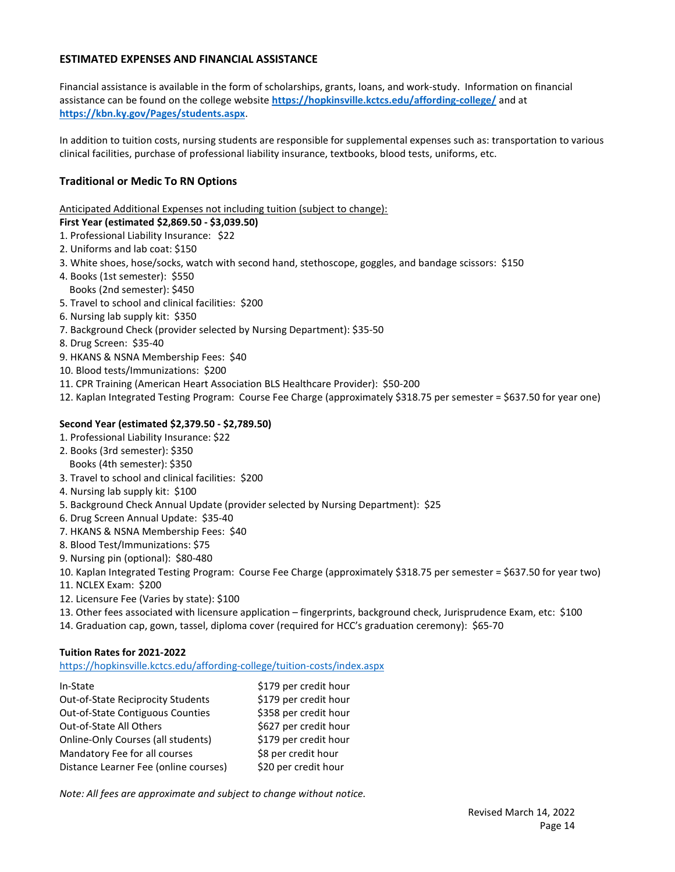#### ESTIMATED EXPENSES AND FINANCIAL ASSISTANCE

Financial assistance is available in the form of scholarships, grants, loans, and work-study. Information on financial assistance can be found on the college website https://hopkinsville.kctcs.edu/affording-college/ and at https://kbn.ky.gov/Pages/students.aspx.

In addition to tuition costs, nursing students are responsible for supplemental expenses such as: transportation to various clinical facilities, purchase of professional liability insurance, textbooks, blood tests, uniforms, etc.

#### Traditional or Medic To RN Options

Anticipated Additional Expenses not including tuition (subject to change):

#### First Year (estimated \$2,869.50 - \$3,039.50)

- 1. Professional Liability Insurance: \$22
- 2. Uniforms and lab coat: \$150
- 3. White shoes, hose/socks, watch with second hand, stethoscope, goggles, and bandage scissors: \$150
- 4. Books (1st semester): \$550
- Books (2nd semester): \$450
- 5. Travel to school and clinical facilities: \$200
- 6. Nursing lab supply kit: \$350
- 7. Background Check (provider selected by Nursing Department): \$35-50
- 8. Drug Screen: \$35-40
- 9. HKANS & NSNA Membership Fees: \$40
- 10. Blood tests/Immunizations: \$200
- 11. CPR Training (American Heart Association BLS Healthcare Provider): \$50-200
- 12. Kaplan Integrated Testing Program: Course Fee Charge (approximately \$318.75 per semester = \$637.50 for year one)

#### Second Year (estimated \$2,379.50 - \$2,789.50)

- 1. Professional Liability Insurance: \$22
- 2. Books (3rd semester): \$350 Books (4th semester): \$350
- 3. Travel to school and clinical facilities: \$200
- 4. Nursing lab supply kit: \$100
- 5. Background Check Annual Update (provider selected by Nursing Department): \$25
- 6. Drug Screen Annual Update: \$35-40
- 7. HKANS & NSNA Membership Fees: \$40
- 8. Blood Test/Immunizations: \$75
- 9. Nursing pin (optional): \$80-480
- 10. Kaplan Integrated Testing Program: Course Fee Charge (approximately \$318.75 per semester = \$637.50 for year two)
- 11. NCLEX Exam: \$200
- 12. Licensure Fee (Varies by state): \$100
- 13. Other fees associated with licensure application fingerprints, background check, Jurisprudence Exam, etc: \$100
- 14. Graduation cap, gown, tassel, diploma cover (required for HCC's graduation ceremony): \$65-70

#### Tuition Rates for 2021-2022

https://hopkinsville.kctcs.edu/affording-college/tuition-costs/index.aspx

| In-State                                 | \$179 per credit hour |
|------------------------------------------|-----------------------|
| <b>Out-of-State Reciprocity Students</b> | \$179 per credit hour |
| Out-of-State Contiguous Counties         | \$358 per credit hour |
| Out-of-State All Others                  | \$627 per credit hour |
| Online-Only Courses (all students)       | \$179 per credit hour |
| Mandatory Fee for all courses            | \$8 per credit hour   |
| Distance Learner Fee (online courses)    | \$20 per credit hour  |

Note: All fees are approximate and subject to change without notice.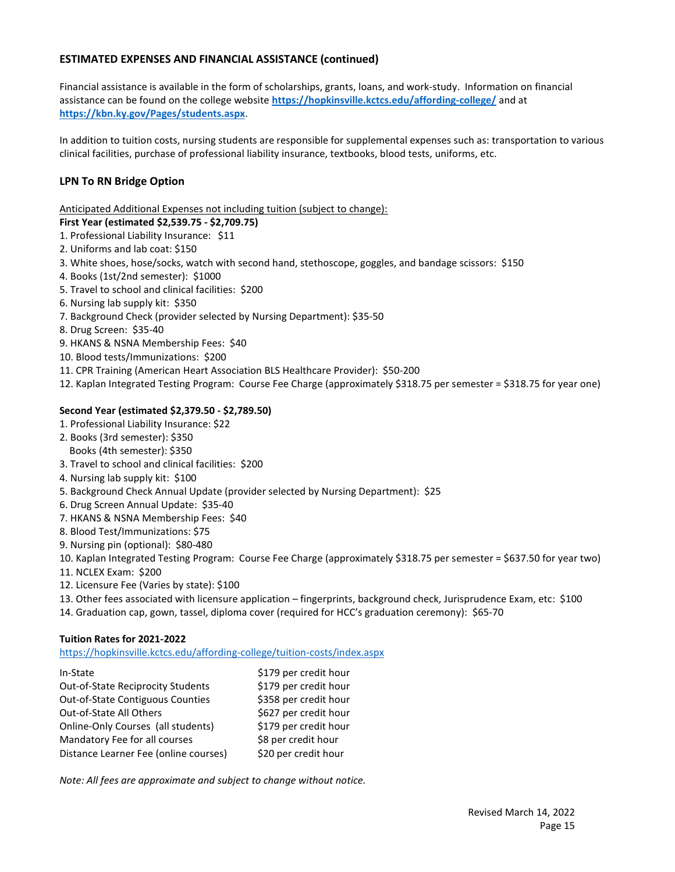#### ESTIMATED EXPENSES AND FINANCIAL ASSISTANCE (continued)

Financial assistance is available in the form of scholarships, grants, loans, and work-study. Information on financial assistance can be found on the college website https://hopkinsville.kctcs.edu/affording-college/ and at https://kbn.ky.gov/Pages/students.aspx.

In addition to tuition costs, nursing students are responsible for supplemental expenses such as: transportation to various clinical facilities, purchase of professional liability insurance, textbooks, blood tests, uniforms, etc.

#### LPN To RN Bridge Option

Anticipated Additional Expenses not including tuition (subject to change):

#### First Year (estimated \$2,539.75 - \$2,709.75)

- 1. Professional Liability Insurance: \$11
- 2. Uniforms and lab coat: \$150
- 3. White shoes, hose/socks, watch with second hand, stethoscope, goggles, and bandage scissors: \$150
- 4. Books (1st/2nd semester): \$1000
- 5. Travel to school and clinical facilities: \$200
- 6. Nursing lab supply kit: \$350
- 7. Background Check (provider selected by Nursing Department): \$35-50
- 8. Drug Screen: \$35-40
- 9. HKANS & NSNA Membership Fees: \$40
- 10. Blood tests/Immunizations: \$200
- 11. CPR Training (American Heart Association BLS Healthcare Provider): \$50-200
- 12. Kaplan Integrated Testing Program: Course Fee Charge (approximately \$318.75 per semester = \$318.75 for year one)

#### Second Year (estimated \$2,379.50 - \$2,789.50)

- 1. Professional Liability Insurance: \$22
- 2. Books (3rd semester): \$350 Books (4th semester): \$350
- 3. Travel to school and clinical facilities: \$200
- 4. Nursing lab supply kit: \$100
- 5. Background Check Annual Update (provider selected by Nursing Department): \$25
- 6. Drug Screen Annual Update: \$35-40
- 7. HKANS & NSNA Membership Fees: \$40
- 8. Blood Test/Immunizations: \$75
- 9. Nursing pin (optional): \$80-480
- 10. Kaplan Integrated Testing Program: Course Fee Charge (approximately \$318.75 per semester = \$637.50 for year two)
- 11. NCLEX Exam: \$200
- 12. Licensure Fee (Varies by state): \$100
- 13. Other fees associated with licensure application fingerprints, background check, Jurisprudence Exam, etc: \$100
- 14. Graduation cap, gown, tassel, diploma cover (required for HCC's graduation ceremony): \$65-70

#### Tuition Rates for 2021-2022

https://hopkinsville.kctcs.edu/affording-college/tuition-costs/index.aspx

| In-State                                 | \$179 per credit hour |
|------------------------------------------|-----------------------|
| <b>Out-of-State Reciprocity Students</b> | \$179 per credit hour |
| <b>Out-of-State Contiguous Counties</b>  | \$358 per credit hour |
| Out-of-State All Others                  | \$627 per credit hour |
| Online-Only Courses (all students)       | \$179 per credit hour |
| Mandatory Fee for all courses            | \$8 per credit hour   |
| Distance Learner Fee (online courses)    | \$20 per credit hour  |

Note: All fees are approximate and subject to change without notice.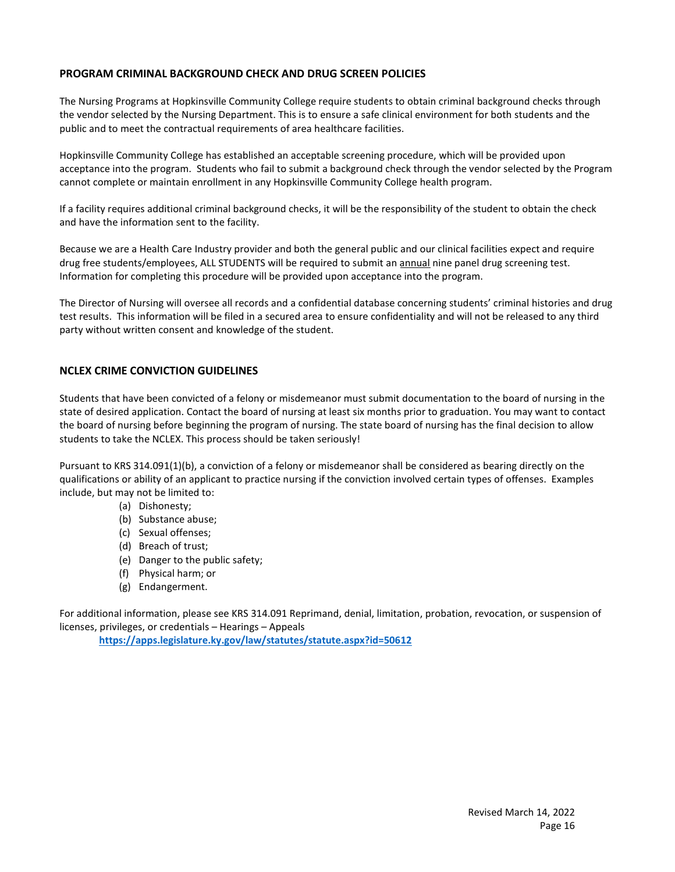#### PROGRAM CRIMINAL BACKGROUND CHECK AND DRUG SCREEN POLICIES

The Nursing Programs at Hopkinsville Community College require students to obtain criminal background checks through the vendor selected by the Nursing Department. This is to ensure a safe clinical environment for both students and the public and to meet the contractual requirements of area healthcare facilities.

Hopkinsville Community College has established an acceptable screening procedure, which will be provided upon acceptance into the program. Students who fail to submit a background check through the vendor selected by the Program cannot complete or maintain enrollment in any Hopkinsville Community College health program.

If a facility requires additional criminal background checks, it will be the responsibility of the student to obtain the check and have the information sent to the facility.

Because we are a Health Care Industry provider and both the general public and our clinical facilities expect and require drug free students/employees, ALL STUDENTS will be required to submit an annual nine panel drug screening test. Information for completing this procedure will be provided upon acceptance into the program.

The Director of Nursing will oversee all records and a confidential database concerning students' criminal histories and drug test results. This information will be filed in a secured area to ensure confidentiality and will not be released to any third party without written consent and knowledge of the student.

#### NCLEX CRIME CONVICTION GUIDELINES

Students that have been convicted of a felony or misdemeanor must submit documentation to the board of nursing in the state of desired application. Contact the board of nursing at least six months prior to graduation. You may want to contact the board of nursing before beginning the program of nursing. The state board of nursing has the final decision to allow students to take the NCLEX. This process should be taken seriously!

Pursuant to KRS 314.091(1)(b), a conviction of a felony or misdemeanor shall be considered as bearing directly on the qualifications or ability of an applicant to practice nursing if the conviction involved certain types of offenses. Examples include, but may not be limited to:

- (a) Dishonesty;
- (b) Substance abuse;
- (c) Sexual offenses;
- (d) Breach of trust;
- (e) Danger to the public safety;
- (f) Physical harm; or
- (g) Endangerment.

For additional information, please see KRS 314.091 Reprimand, denial, limitation, probation, revocation, or suspension of licenses, privileges, or credentials – Hearings – Appeals

https://apps.legislature.ky.gov/law/statutes/statute.aspx?id=50612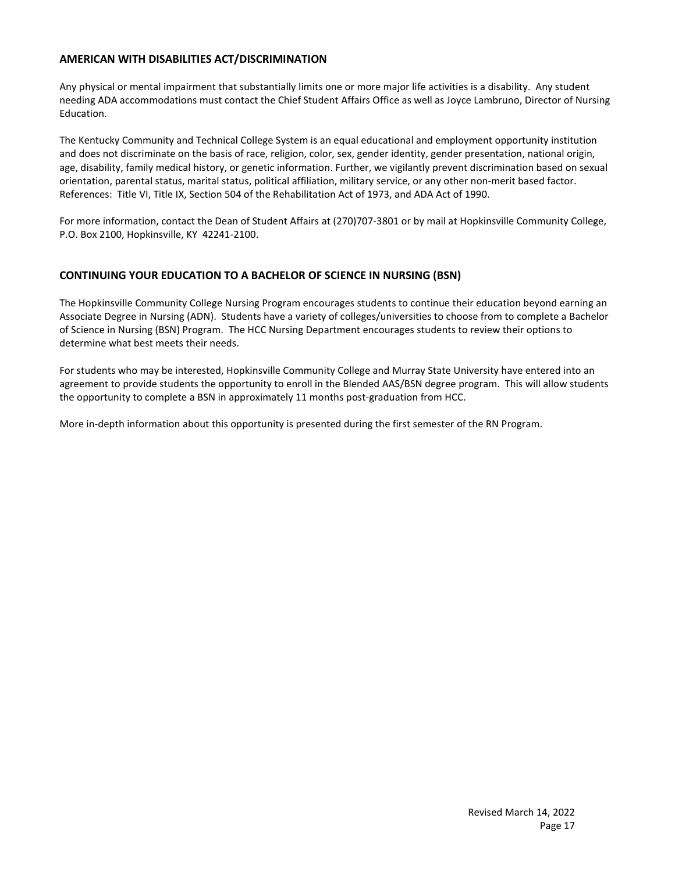#### AMERICAN WITH DISABILITIES ACT/DISCRIMINATION

Any physical or mental impairment that substantially limits one or more major life activities is a disability. Any student needing ADA accommodations must contact the Chief Student Affairs Office as well as Joyce Lambruno, Director of Nursing Education.

The Kentucky Community and Technical College System is an equal educational and employment opportunity institution and does not discriminate on the basis of race, religion, color, sex, gender identity, gender presentation, national origin, age, disability, family medical history, or genetic information. Further, we vigilantly prevent discrimination based on sexual orientation, parental status, marital status, political affiliation, military service, or any other non-merit based factor. References: Title VI, Title IX, Section 504 of the Rehabilitation Act of 1973, and ADA Act of 1990.

For more information, contact the Dean of Student Affairs at (270)707-3801 or by mail at Hopkinsville Community College, P.O. Box 2100, Hopkinsville, KY 42241-2100.

#### CONTINUING YOUR EDUCATION TO A BACHELOR OF SCIENCE IN NURSING (BSN)

The Hopkinsville Community College Nursing Program encourages students to continue their education beyond earning an Associate Degree in Nursing (ADN). Students have a variety of colleges/universities to choose from to complete a Bachelor of Science in Nursing (BSN) Program. The HCC Nursing Department encourages students to review their options to determine what best meets their needs.

For students who may be interested, Hopkinsville Community College and Murray State University have entered into an agreement to provide students the opportunity to enroll in the Blended AAS/BSN degree program. This will allow students the opportunity to complete a BSN in approximately 11 months post-graduation from HCC.

More in-depth information about this opportunity is presented during the first semester of the RN Program.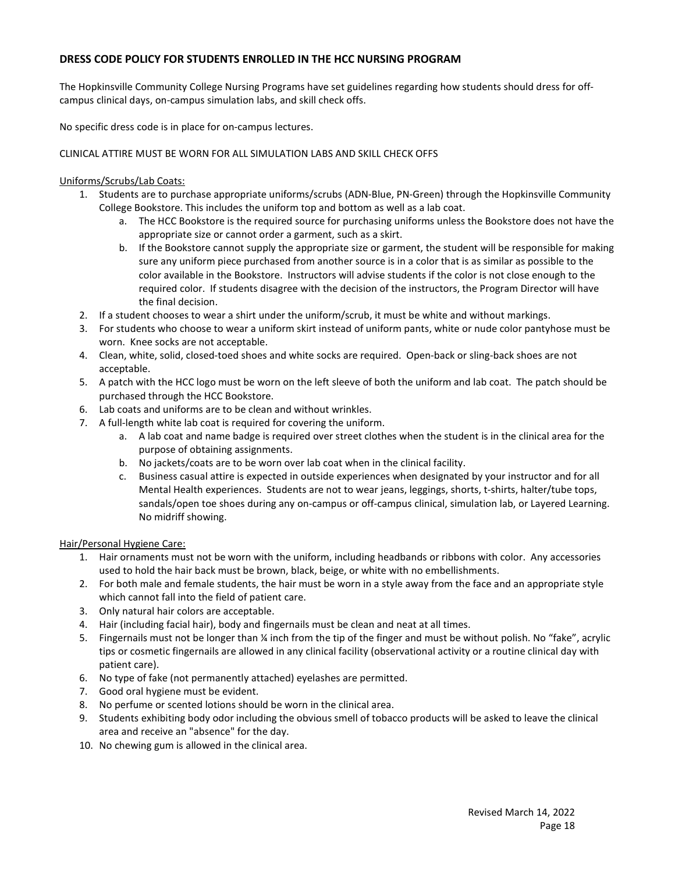#### DRESS CODE POLICY FOR STUDENTS ENROLLED IN THE HCC NURSING PROGRAM

The Hopkinsville Community College Nursing Programs have set guidelines regarding how students should dress for offcampus clinical days, on-campus simulation labs, and skill check offs.

No specific dress code is in place for on-campus lectures.

#### CLINICAL ATTIRE MUST BE WORN FOR ALL SIMULATION LABS AND SKILL CHECK OFFS

#### Uniforms/Scrubs/Lab Coats:

- 1. Students are to purchase appropriate uniforms/scrubs (ADN-Blue, PN-Green) through the Hopkinsville Community College Bookstore. This includes the uniform top and bottom as well as a lab coat.
	- a. The HCC Bookstore is the required source for purchasing uniforms unless the Bookstore does not have the appropriate size or cannot order a garment, such as a skirt.
	- b. If the Bookstore cannot supply the appropriate size or garment, the student will be responsible for making sure any uniform piece purchased from another source is in a color that is as similar as possible to the color available in the Bookstore. Instructors will advise students if the color is not close enough to the required color. If students disagree with the decision of the instructors, the Program Director will have the final decision.
- 2. If a student chooses to wear a shirt under the uniform/scrub, it must be white and without markings.
- 3. For students who choose to wear a uniform skirt instead of uniform pants, white or nude color pantyhose must be worn. Knee socks are not acceptable.
- 4. Clean, white, solid, closed-toed shoes and white socks are required. Open-back or sling-back shoes are not acceptable.
- 5. A patch with the HCC logo must be worn on the left sleeve of both the uniform and lab coat. The patch should be purchased through the HCC Bookstore.
- 6. Lab coats and uniforms are to be clean and without wrinkles.
- 7. A full-length white lab coat is required for covering the uniform.
	- a. A lab coat and name badge is required over street clothes when the student is in the clinical area for the purpose of obtaining assignments.
	- b. No jackets/coats are to be worn over lab coat when in the clinical facility.
	- c. Business casual attire is expected in outside experiences when designated by your instructor and for all Mental Health experiences. Students are not to wear jeans, leggings, shorts, t-shirts, halter/tube tops, sandals/open toe shoes during any on-campus or off-campus clinical, simulation lab, or Layered Learning. No midriff showing.

#### Hair/Personal Hygiene Care:

- 1. Hair ornaments must not be worn with the uniform, including headbands or ribbons with color. Any accessories used to hold the hair back must be brown, black, beige, or white with no embellishments.
- 2. For both male and female students, the hair must be worn in a style away from the face and an appropriate style which cannot fall into the field of patient care.
- 3. Only natural hair colors are acceptable.
- 4. Hair (including facial hair), body and fingernails must be clean and neat at all times.
- 5. Fingernails must not be longer than ¼ inch from the tip of the finger and must be without polish. No "fake", acrylic tips or cosmetic fingernails are allowed in any clinical facility (observational activity or a routine clinical day with patient care).
- 6. No type of fake (not permanently attached) eyelashes are permitted.
- 7. Good oral hygiene must be evident.
- 8. No perfume or scented lotions should be worn in the clinical area.
- 9. Students exhibiting body odor including the obvious smell of tobacco products will be asked to leave the clinical area and receive an "absence" for the day.
- 10. No chewing gum is allowed in the clinical area.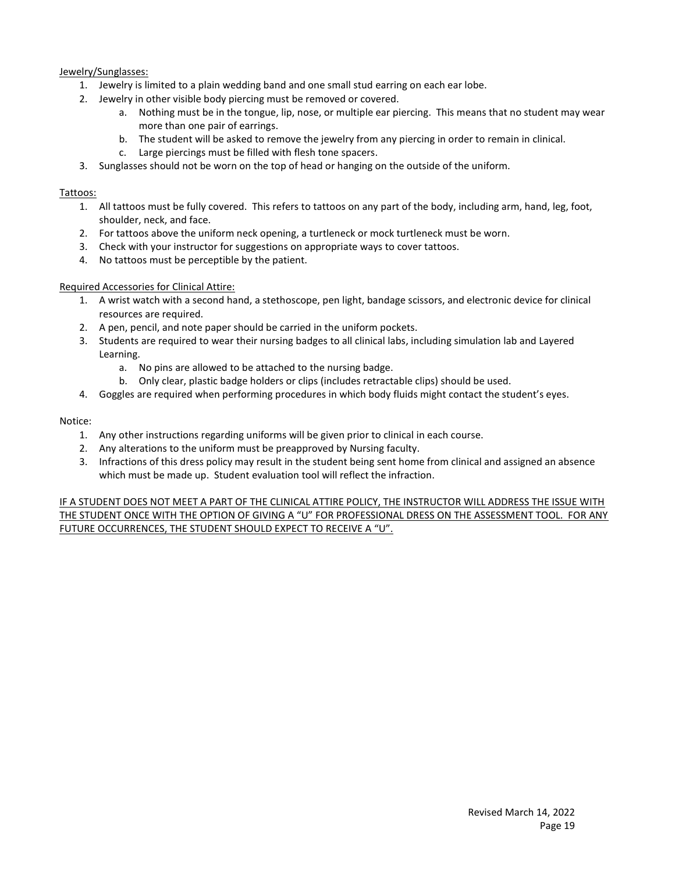#### Jewelry/Sunglasses:

- 1. Jewelry is limited to a plain wedding band and one small stud earring on each ear lobe.
- 2. Jewelry in other visible body piercing must be removed or covered.
	- a. Nothing must be in the tongue, lip, nose, or multiple ear piercing. This means that no student may wear more than one pair of earrings.
	- b. The student will be asked to remove the jewelry from any piercing in order to remain in clinical.
	- c. Large piercings must be filled with flesh tone spacers.
- 3. Sunglasses should not be worn on the top of head or hanging on the outside of the uniform.

#### Tattoos:

- 1. All tattoos must be fully covered. This refers to tattoos on any part of the body, including arm, hand, leg, foot, shoulder, neck, and face.
- 2. For tattoos above the uniform neck opening, a turtleneck or mock turtleneck must be worn.
- 3. Check with your instructor for suggestions on appropriate ways to cover tattoos.
- 4. No tattoos must be perceptible by the patient.

#### Required Accessories for Clinical Attire:

- 1. A wrist watch with a second hand, a stethoscope, pen light, bandage scissors, and electronic device for clinical resources are required.
- 2. A pen, pencil, and note paper should be carried in the uniform pockets.
- 3. Students are required to wear their nursing badges to all clinical labs, including simulation lab and Layered Learning.
	- a. No pins are allowed to be attached to the nursing badge.
	- b. Only clear, plastic badge holders or clips (includes retractable clips) should be used.
- 4. Goggles are required when performing procedures in which body fluids might contact the student's eyes.

#### Notice:

- 1. Any other instructions regarding uniforms will be given prior to clinical in each course.
- 2. Any alterations to the uniform must be preapproved by Nursing faculty.
- 3. Infractions of this dress policy may result in the student being sent home from clinical and assigned an absence which must be made up. Student evaluation tool will reflect the infraction.

IF A STUDENT DOES NOT MEET A PART OF THE CLINICAL ATTIRE POLICY, THE INSTRUCTOR WILL ADDRESS THE ISSUE WITH THE STUDENT ONCE WITH THE OPTION OF GIVING A "U" FOR PROFESSIONAL DRESS ON THE ASSESSMENT TOOL. FOR ANY FUTURE OCCURRENCES, THE STUDENT SHOULD EXPECT TO RECEIVE A "U".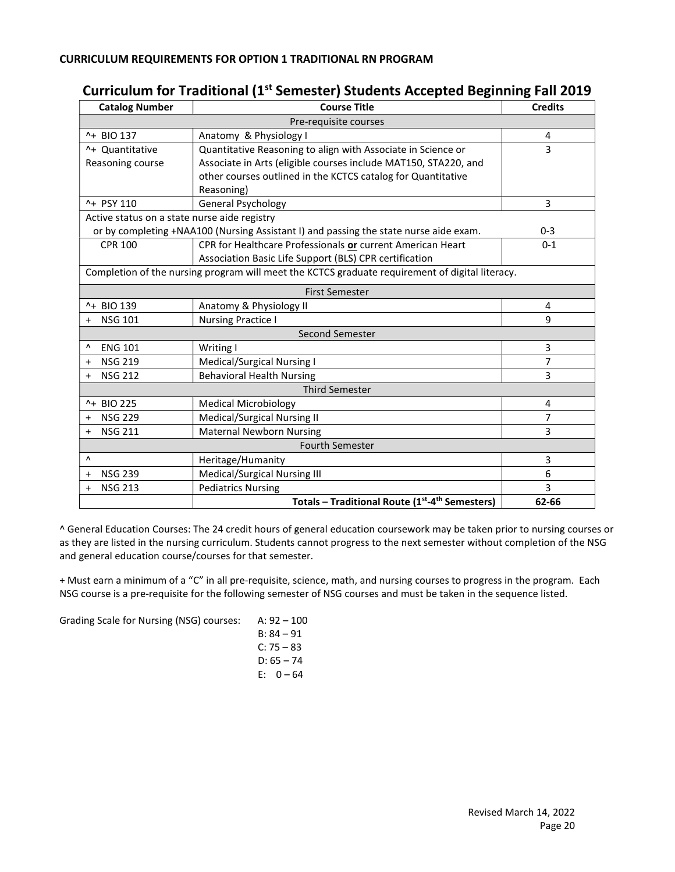# Curriculum for Traditional (1<sup>st</sup> Semester) Students Accepted Beginning Fall 2019

| <b>Catalog Number</b>                                                                           | <b>Course Title</b>                                                                   | <b>Credits</b> |
|-------------------------------------------------------------------------------------------------|---------------------------------------------------------------------------------------|----------------|
|                                                                                                 | Pre-requisite courses                                                                 |                |
| ^+ BIO 137                                                                                      | Anatomy & Physiology I                                                                | 4              |
| ^+ Quantitative                                                                                 | Quantitative Reasoning to align with Associate in Science or                          | 3              |
| Reasoning course                                                                                | Associate in Arts (eligible courses include MAT150, STA220, and                       |                |
|                                                                                                 | other courses outlined in the KCTCS catalog for Quantitative                          |                |
|                                                                                                 | Reasoning)                                                                            |                |
| ^+ PSY 110                                                                                      | <b>General Psychology</b>                                                             | 3              |
| Active status on a state nurse aide registry                                                    |                                                                                       |                |
|                                                                                                 | or by completing +NAA100 (Nursing Assistant I) and passing the state nurse aide exam. | $0 - 3$        |
| <b>CPR 100</b>                                                                                  | CPR for Healthcare Professionals or current American Heart                            | $0 - 1$        |
|                                                                                                 | Association Basic Life Support (BLS) CPR certification                                |                |
| Completion of the nursing program will meet the KCTCS graduate requirement of digital literacy. |                                                                                       |                |
| <b>First Semester</b>                                                                           |                                                                                       |                |
| ^+ BIO 139                                                                                      | Anatomy & Physiology II                                                               | 4              |
| <b>NSG 101</b>                                                                                  | <b>Nursing Practice I</b>                                                             | 9              |
| Second Semester                                                                                 |                                                                                       |                |
| <b>ENG 101</b><br>٨                                                                             | Writing I                                                                             | 3              |
| <b>NSG 219</b><br>$\ddot{}$                                                                     | Medical/Surgical Nursing I                                                            | 7              |
| <b>NSG 212</b><br>$\ddot{}$                                                                     | <b>Behavioral Health Nursing</b>                                                      | 3              |
| <b>Third Semester</b>                                                                           |                                                                                       |                |
| ^+ BIO 225                                                                                      | <b>Medical Microbiology</b>                                                           | 4              |
| <b>NSG 229</b><br>$\ddot{}$                                                                     | Medical/Surgical Nursing II                                                           | 7              |
| <b>NSG 211</b><br>$\ddot{}$                                                                     | <b>Maternal Newborn Nursing</b>                                                       | 3              |
| <b>Fourth Semester</b>                                                                          |                                                                                       |                |
| $\lambda$                                                                                       | Heritage/Humanity                                                                     | 3              |
| <b>NSG 239</b><br>$\ddot{}$                                                                     | Medical/Surgical Nursing III                                                          | 6              |
| <b>NSG 213</b><br>+                                                                             | <b>Pediatrics Nursing</b>                                                             | 3              |
|                                                                                                 | Totals - Traditional Route (1 <sup>st</sup> -4 <sup>th</sup> Semesters)               | 62-66          |

^ General Education Courses: The 24 credit hours of general education coursework may be taken prior to nursing courses or as they are listed in the nursing curriculum. Students cannot progress to the next semester without completion of the NSG and general education course/courses for that semester.

+ Must earn a minimum of a "C" in all pre-requisite, science, math, and nursing courses to progress in the program. Each NSG course is a pre-requisite for the following semester of NSG courses and must be taken in the sequence listed.

Grading Scale for Nursing (NSG) courses: A: 92 – 100

| A. 34 – 100  |
|--------------|
| B: 84 – 91   |
| $C: 75 - 83$ |
| $D: 65 - 74$ |
| E: 0 – 64    |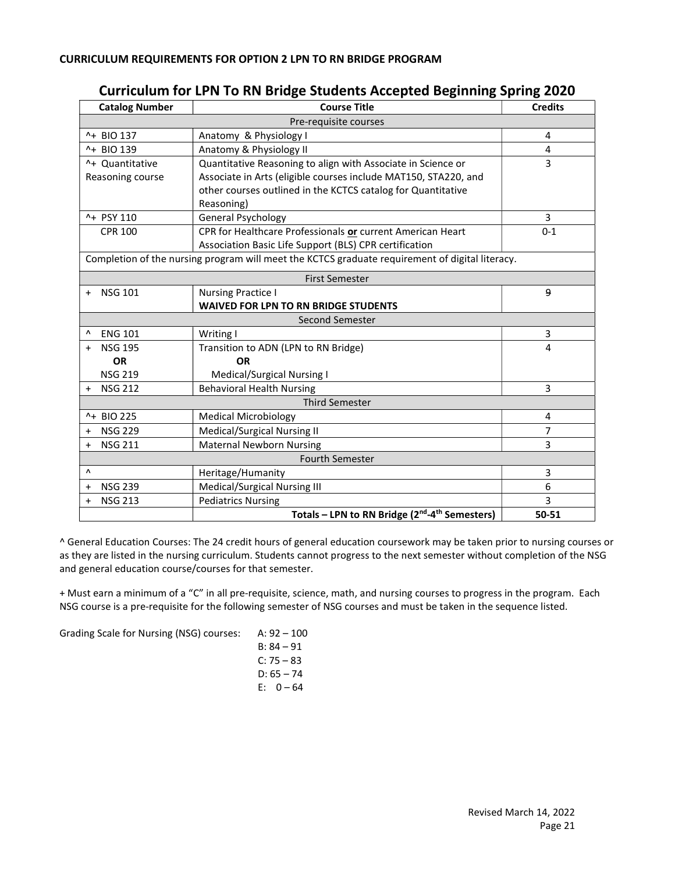| <b>Catalog Number</b>                                                                           | <b>Course Title</b>                                                    | <b>Credits</b> |
|-------------------------------------------------------------------------------------------------|------------------------------------------------------------------------|----------------|
|                                                                                                 | Pre-requisite courses                                                  |                |
| ^+ BIO 137                                                                                      | Anatomy & Physiology I                                                 | $\overline{4}$ |
| ^+ BIO 139                                                                                      | Anatomy & Physiology II                                                | 4              |
| ^+ Quantitative                                                                                 | Quantitative Reasoning to align with Associate in Science or           | 3              |
| Reasoning course                                                                                | Associate in Arts (eligible courses include MAT150, STA220, and        |                |
|                                                                                                 | other courses outlined in the KCTCS catalog for Quantitative           |                |
|                                                                                                 | Reasoning)                                                             |                |
| ^+ PSY 110                                                                                      | <b>General Psychology</b>                                              | 3              |
| <b>CPR 100</b>                                                                                  | CPR for Healthcare Professionals or current American Heart             | $0 - 1$        |
|                                                                                                 | Association Basic Life Support (BLS) CPR certification                 |                |
| Completion of the nursing program will meet the KCTCS graduate requirement of digital literacy. |                                                                        |                |
| <b>First Semester</b>                                                                           |                                                                        |                |
| <b>NSG 101</b><br>$\ddot{}$                                                                     | <b>Nursing Practice I</b>                                              | 9              |
|                                                                                                 | <b>WAIVED FOR LPN TO RN BRIDGE STUDENTS</b>                            |                |
|                                                                                                 | <b>Second Semester</b>                                                 |                |
| <b>ENG 101</b><br>Λ                                                                             | Writing I                                                              | 3              |
| <b>NSG 195</b><br>$\ddot{}$                                                                     | Transition to ADN (LPN to RN Bridge)                                   | 4              |
| <b>OR</b>                                                                                       | <b>OR</b>                                                              |                |
| <b>NSG 219</b>                                                                                  | Medical/Surgical Nursing I                                             |                |
| <b>NSG 212</b><br>$\ddot{}$                                                                     | <b>Behavioral Health Nursing</b>                                       | 3              |
| <b>Third Semester</b>                                                                           |                                                                        |                |
| ^+ BIO 225                                                                                      | <b>Medical Microbiology</b>                                            | 4              |
| <b>NSG 229</b><br>$\ddot{}$                                                                     | Medical/Surgical Nursing II                                            | $\overline{7}$ |
| <b>NSG 211</b><br>$\ddot{}$                                                                     | <b>Maternal Newborn Nursing</b>                                        | 3              |
| <b>Fourth Semester</b>                                                                          |                                                                        |                |
| Λ                                                                                               | Heritage/Humanity                                                      | 3              |
| <b>NSG 239</b><br>$\ddot{}$                                                                     | Medical/Surgical Nursing III                                           | 6              |
| <b>NSG 213</b><br>$\ddot{}$                                                                     | <b>Pediatrics Nursing</b>                                              | 3              |
|                                                                                                 | Totals - LPN to RN Bridge (2 <sup>nd</sup> -4 <sup>th</sup> Semesters) | 50-51          |

### Curriculum for LPN To RN Bridge Students Accepted Beginning Spring 2020

^ General Education Courses: The 24 credit hours of general education coursework may be taken prior to nursing courses or as they are listed in the nursing curriculum. Students cannot progress to the next semester without completion of the NSG and general education course/courses for that semester.

+ Must earn a minimum of a "C" in all pre-requisite, science, math, and nursing courses to progress in the program. Each NSG course is a pre-requisite for the following semester of NSG courses and must be taken in the sequence listed.

Grading Scale for Nursing (NSG) courses: A: 92 – 100

| $B: 84 - 91$ |  |
|--------------|--|
| $C: 75 - 83$ |  |
| $D: 65 - 74$ |  |
| E: 0 – 64    |  |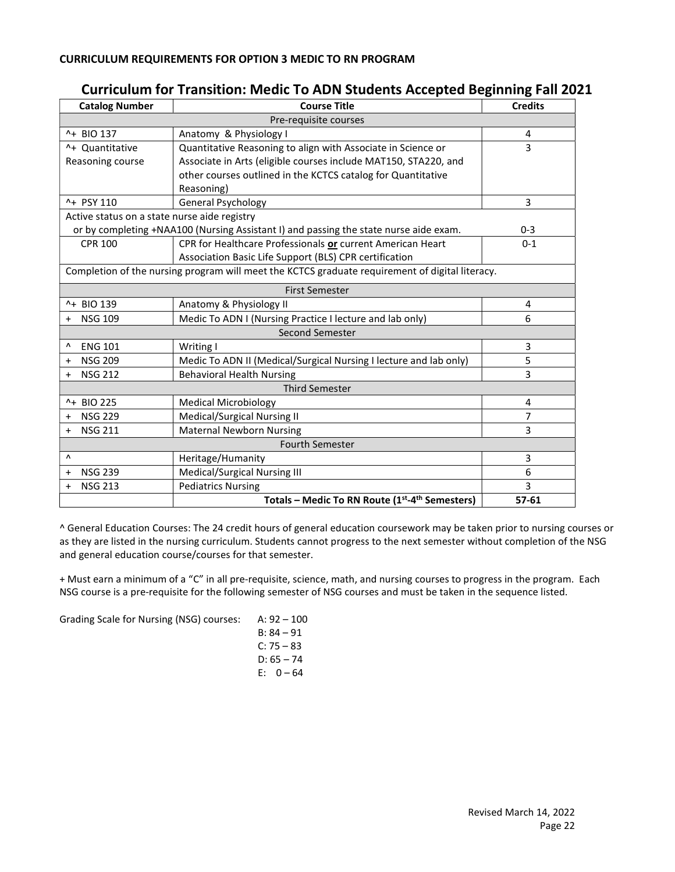| <b>Catalog Number</b>                                                                           | <b>Course Title</b>                                                                   | <b>Credits</b> |
|-------------------------------------------------------------------------------------------------|---------------------------------------------------------------------------------------|----------------|
|                                                                                                 | Pre-requisite courses                                                                 |                |
| ^+ BIO 137                                                                                      | Anatomy & Physiology I                                                                | 4              |
| ^+ Quantitative                                                                                 | Quantitative Reasoning to align with Associate in Science or                          | 3              |
| Reasoning course                                                                                | Associate in Arts (eligible courses include MAT150, STA220, and                       |                |
|                                                                                                 | other courses outlined in the KCTCS catalog for Quantitative                          |                |
|                                                                                                 | Reasoning)                                                                            |                |
| ^+ PSY 110                                                                                      | General Psychology                                                                    | 3              |
| Active status on a state nurse aide registry                                                    |                                                                                       |                |
|                                                                                                 | or by completing +NAA100 (Nursing Assistant I) and passing the state nurse aide exam. | $0 - 3$        |
| <b>CPR 100</b>                                                                                  | CPR for Healthcare Professionals or current American Heart                            | $0 - 1$        |
|                                                                                                 | Association Basic Life Support (BLS) CPR certification                                |                |
| Completion of the nursing program will meet the KCTCS graduate requirement of digital literacy. |                                                                                       |                |
| <b>First Semester</b>                                                                           |                                                                                       |                |
| ^+ BIO 139                                                                                      | Anatomy & Physiology II                                                               | 4              |
| <b>NSG 109</b>                                                                                  | Medic To ADN I (Nursing Practice I lecture and lab only)                              | 6              |
| <b>Second Semester</b>                                                                          |                                                                                       |                |
| <b>ENG 101</b><br>٨                                                                             | Writing I                                                                             | 3              |
| <b>NSG 209</b><br>$\ddot{}$                                                                     | Medic To ADN II (Medical/Surgical Nursing I lecture and lab only)                     | 5              |
| <b>NSG 212</b><br>$\ddot{}$                                                                     | <b>Behavioral Health Nursing</b>                                                      | 3              |
| <b>Third Semester</b>                                                                           |                                                                                       |                |
| ^+ BIO 225                                                                                      | <b>Medical Microbiology</b>                                                           | 4              |
| <b>NSG 229</b><br>$\ddot{}$                                                                     | Medical/Surgical Nursing II                                                           | $\overline{7}$ |
| <b>NSG 211</b><br>$\ddot{}$                                                                     | <b>Maternal Newborn Nursing</b>                                                       | 3              |
|                                                                                                 | <b>Fourth Semester</b>                                                                |                |
| Λ                                                                                               | Heritage/Humanity                                                                     | 3              |
| <b>NSG 239</b><br>$\ddot{}$                                                                     | Medical/Surgical Nursing III                                                          | 6              |
| <b>NSG 213</b><br>$\ddot{}$                                                                     | <b>Pediatrics Nursing</b>                                                             | 3              |
|                                                                                                 | Totals - Medic To RN Route (1st-4th Semesters)                                        | 57-61          |

## Curriculum for Transition: Medic To ADN Students Accepted Beginning Fall 2021

^ General Education Courses: The 24 credit hours of general education coursework may be taken prior to nursing courses or as they are listed in the nursing curriculum. Students cannot progress to the next semester without completion of the NSG and general education course/courses for that semester.

+ Must earn a minimum of a "C" in all pre-requisite, science, math, and nursing courses to progress in the program. Each NSG course is a pre-requisite for the following semester of NSG courses and must be taken in the sequence listed.

Grading Scale for Nursing (NSG) courses: A: 92 – 100

| A. 92 – 100  |
|--------------|
| B: 84 – 91   |
| C: 75 – 83   |
| $D: 65 - 74$ |
| $E: 0 - 64$  |